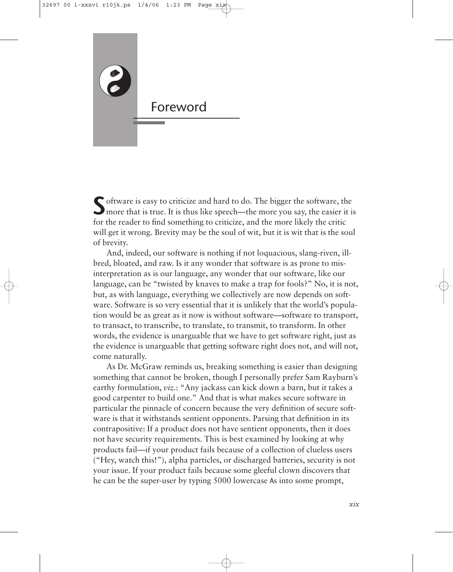

**S**oftware is easy to criticize and hard to do. The bigger the software, the more that is true. It is thus like speech—the more you say, the easier it is for the reader to find something to criticize, and the more likely the critic will get it wrong. Brevity may be the soul of wit, but it is wit that is the soul of brevity.

And, indeed, our software is nothing if not loquacious, slang-riven, illbred, bloated, and raw. Is it any wonder that software is as prone to misinterpretation as is our language, any wonder that our software, like our language, can be "twisted by knaves to make a trap for fools?" No, it is not, but, as with language, everything we collectively are now depends on software. Software is so very essential that it is unlikely that the world's population would be as great as it now is without software—software to transport, to transact, to transcribe, to translate, to transmit, to transform. In other words, the evidence is unarguable that we have to get software right, just as the evidence is unarguable that getting software right does not, and will not, come naturally.

As Dr. McGraw reminds us, breaking something is easier than designing something that cannot be broken, though I personally prefer Sam Rayburn's earthy formulation, *viz.*: "Any jackass can kick down a barn, but it takes a good carpenter to build one." And that is what makes secure software in particular the pinnacle of concern because the very definition of secure software is that it withstands sentient opponents. Parsing that definition in its contrapositive: If a product does not have sentient opponents, then it does not have security requirements. This is best examined by looking at why products fail—if your product fails because of a collection of clueless users ("Hey, watch this!"), alpha particles, or discharged batteries, security is not your issue. If your product fails because some gleeful clown discovers that he can be the super-user by typing 5000 lowercase As into some prompt,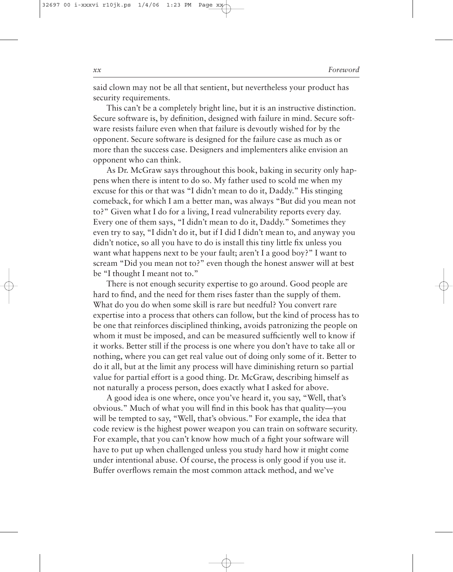said clown may not be all that sentient, but nevertheless your product has security requirements.

This can't be a completely bright line, but it is an instructive distinction. Secure software is, by definition, designed with failure in mind. Secure software resists failure even when that failure is devoutly wished for by the opponent. Secure software is designed for the failure case as much as or more than the success case. Designers and implementers alike envision an opponent who can think.

As Dr. McGraw says throughout this book, baking in security only happens when there is intent to do so. My father used to scold me when my excuse for this or that was "I didn't mean to do it, Daddy." His stinging comeback, for which I am a better man, was always "But did you mean not to?" Given what I do for a living, I read vulnerability reports every day. Every one of them says, "I didn't mean to do it, Daddy." Sometimes they even try to say, "I didn't do it, but if I did I didn't mean to, and anyway you didn't notice, so all you have to do is install this tiny little fix unless you want what happens next to be your fault; aren't I a good boy?" I want to scream "Did you mean not to?" even though the honest answer will at best be "I thought I meant not to."

There is not enough security expertise to go around. Good people are hard to find, and the need for them rises faster than the supply of them. What do you do when some skill is rare but needful? You convert rare expertise into a process that others can follow, but the kind of process has to be one that reinforces disciplined thinking, avoids patronizing the people on whom it must be imposed, and can be measured sufficiently well to know if it works. Better still if the process is one where you don't have to take all or nothing, where you can get real value out of doing only some of it. Better to do it all, but at the limit any process will have diminishing return so partial value for partial effort is a good thing. Dr. McGraw, describing himself as not naturally a process person, does exactly what I asked for above.

A good idea is one where, once you've heard it, you say, "Well, that's obvious." Much of what you will find in this book has that quality—you will be tempted to say, "Well, that's obvious." For example, the idea that code review is the highest power weapon you can train on software security. For example, that you can't know how much of a fight your software will have to put up when challenged unless you study hard how it might come under intentional abuse. Of course, the process is only good if you use it. Buffer overflows remain the most common attack method, and we've